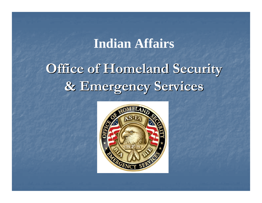### **Indian Affairs**

# **Office of Homeland Security & Emergency Services & Emergency Services**

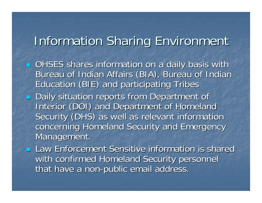### **Information Sharing Environment**

- p. **OHSES shares information on a daily basis with** Bureau of Indian Affairs (BIA), Bureau of Indian Education (BIE) and participating Tribes Education (BIE) and participating Tribes  $\mathbb{R}^2$ **Daily situation reports from Department of Daily situation reports from Department of** Interior (DOI) and Department of Homeland Security (DHS) as well as relevant information concerning Homeland Security and Emergency concerning Homeland Security and Emergency Management.
- **Law Enforcement Sensitive information is shared** with confirmed Homeland Security personnel that have a non-public email address.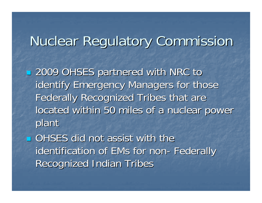# Nuclear Regulatory Commission Nuclear Regulatory Commission

 2009 OHSES partnered with NRC to 2009 OHSES partnered with NRC to identify Emergency Managers for those Federally Recognized Tribes that are located within 50 miles of a nuclear power plant

 $\blacksquare$  OHSES did not assist with the identification of EMs for non-Federally **Recognized Indian Tribes**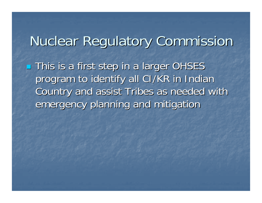## **Nuclear Regulatory Commission**

**This is a first step in a larger OHSES** program to identify all CI/KR in Indian Country and assist Tribes as needed with Country and assist Tribes as needed with emergency planning and mitigation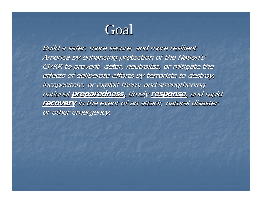## Goal

Build a safer, more secure, and more resilient America by enhancing protection of the Nation's CI/KR to prevent, deter, neutralize, or mitigate the effects of deliberate efforts by terrorists to destroy, incapacitate, or exploit them; and strengthening **national preparedness, timely response, and rapid** recovery in the event of an attack, natural disaster, or other emergency.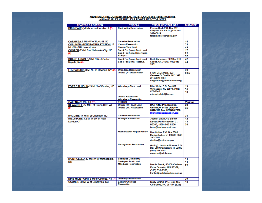#### FEDERALLY RECOGNIZED TRIBAL TRUST LANDS and RESERVATIONS<br>within 50 MILES OF NUCLEAR POWER REACTOR SITES

| <b>REACTOR &amp; LOCATION</b>                   | TRIBE(s)                                                    | <b>TRIBAL CONTACT INFO</b>                                                                                | <b>DISTANCE</b> |
|-------------------------------------------------|-------------------------------------------------------------|-----------------------------------------------------------------------------------------------------------|-----------------|
| BRUNEAU(N)-Idaho-exact location ? (*)           | <b>Duck Valley Reservation</b>                              | Felecia Cuch P.O. Box 217<br>Owyhee, NV 89837, (775) 757-<br>3624/3614<br>felecia.pike-cuch@bia.gov       |                 |
| <b>CATAWBA-6 MI NW of Rockhill, SC</b>          | <b>Catawba Reservation</b>                                  |                                                                                                           | 14              |
| <b>COLUMBIA GENERATING STATION-12</b>           | <b>Yakima Reservation</b>                                   |                                                                                                           | 32              |
| MI NW of Richmond, WA                           | Yakima Trust Land                                           |                                                                                                           | 49              |
| COOPER-23 MI S of Nebraska City, NE             | Sac & Fox (lowa) Trust Land                                 |                                                                                                           | $\overline{17}$ |
| (#)                                             | Sac & Fox (lowa)Reservation<br>Kickapoo                     |                                                                                                           | 22              |
|                                                 |                                                             | Keith Barkhimer, Rt 2 Box 346                                                                             | 37              |
| DUANE ARNOLD-9 MI NW of Cedar<br>Rapids, IA (#) | Sac & Fox (lowa) Trust Land<br>Sac & Fox (lowa) Reserve.    | Stroud, OK 74079, (918) 968-<br>2031                                                                      | 42<br>44        |
| FITZPATRICK-8 MI NE of Oswego, NY (#)           | Onondaga Reservation                                        |                                                                                                           | 39              |
|                                                 | Oneida (NY) Reservation                                     | Frank DeGennaro, 223<br>Genesee St Oneida, NY 13421,<br>(315) 829-8051<br>fdegennaro@oneida-nation.org    | 50.6            |
| FORT CALHOUN-19 MI N of Omaha, NE               | <b>Winnebago Trust Land</b>                                 | Mike White, P.O. Box 687.                                                                                 | 19              |
|                                                 |                                                             | Winnebago, NE 68071, (402)<br>878-2245                                                                    | 35              |
|                                                 |                                                             | michael.white@bia.gov                                                                                     | 48              |
|                                                 | <b>Omaha Reservation</b><br><b>Winnebago Reservation</b>    |                                                                                                           |                 |
| <b>GALENA-20 (N), AK (**)</b>                   | <b>YRITWC</b>                                               |                                                                                                           | <b>Various</b>  |
| KEWAUNEE-27 MI E of Green Bay, WI               | Oneida (WI) Trust Land<br>Oneida (WI) Reservation           | DAN KING:P.O. Box 365.<br>Oneida, WI 54155 (920)497-                                                      | 28              |
| (#)                                             |                                                             | 5812#123, Fax: (920)496-7883<br>Dking1@oneidanation.org                                                   | 36              |
| McGUIRE-17 MI N of Charlotte, NC                | <b>Catawba Reservation</b>                                  |                                                                                                           | 35              |
| MILLSTONE-3.2 MI WSW of New                     | <b>Mohegan Reservation</b>                                  | Joseph Lavin, 49 Sandy                                                                                    | 12              |
| London <sub>.CT</sub>                           |                                                             | Desert Rd Uncasville, Ct                                                                                  | 13              |
|                                                 |                                                             | 06382, (860) 862-6226,<br>jlavin@moheganmail.com                                                          | 26              |
|                                                 | <b>Mashantucket Pequot Reserv</b>                           | Dan Collins, P.O. Box 3060<br>Mashantucket, CT 06339, (860)<br>396-6652.<br>dcollins@mptn-nsn.gov         |                 |
|                                                 | Narragansett Reservation                                    | (Acting) Lt Antone Monroe, P.O.<br>Box 268 Charlestown, RI 02813<br>(401) 364-1107<br>amonroe@nitribe.org |                 |
| <b>MONTICELLO-30 MI NW of Minneapolis,</b>      | <b>Shakopee Community</b>                                   |                                                                                                           | 44              |
| ΜN                                              | <b>Shakopee Trust Land</b><br><b>Mille Lacs Reservation</b> |                                                                                                           | 44              |
|                                                 |                                                             | Monte Fronk, 43408 Oodena<br>Drive Onamia, MN 56359,<br>(320) 532-2558.                                   | 50              |
|                                                 |                                                             | fronkm@millelacsojibwe-nsn.us                                                                             |                 |
| NINE MILE POINT-6 MI of Oswego, NY (*)          | <b>Onondaga Reservation</b>                                 |                                                                                                           | 39              |
| OCONEE-30 MI W of Greenville, SC                | <b>Eastern Cherokee</b>                                     | Molly Grand, P.O. Box 455                                                                                 | 48              |
|                                                 | Reservation                                                 | Cherokee, NC 28719, (828)                                                                                 |                 |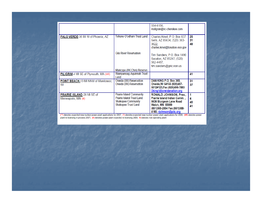|                                                   |                                                                                                                                | 554-6156,<br>mollgran@nc-cherokee.com                                                                                                                                  |                    |
|---------------------------------------------------|--------------------------------------------------------------------------------------------------------------------------------|------------------------------------------------------------------------------------------------------------------------------------------------------------------------|--------------------|
| PALO VERDE-36 MI W of Phoenix, AZ                 | Tohono O'odham Trust Land                                                                                                      | Charles Kmet, P.O. Box 837<br>Sells, AZ 85634, (520) 383-<br>3622.<br>charles.kmet@tonation-nsn.gov                                                                    | 25<br>31<br>48     |
|                                                   | <b>Gila River Reservation</b>                                                                                                  | Tim Sanders, P.O. Box 1490<br>Sacaton, AZ 85247, (520)<br>562-4487,<br>tim.sanders@gric.nsn.us                                                                         |                    |
|                                                   | Maricopa (AK.Chin) Reserve.                                                                                                    |                                                                                                                                                                        |                    |
| PILIGRIM-4 MI SE of Plymouth, MA (##)             | Wampanoag-Aquinnah Trust<br>Land                                                                                               |                                                                                                                                                                        | 41                 |
| POINT BEACH-13 MI NNW of Manitowoc,<br>WI         | Oneida (WI) Reservation<br>Oneida (WI) Reservation                                                                             | DAN KING: P.O. Box 365,<br>Oneida, WI 54155 (920) 497-<br>5812#123, Fax: (920) 496-7883<br>Dking1@oneidanation.org                                                     | 31<br>37           |
| PRAIRIE ISLAND-28 MI SE of<br>Minneapolis, MN (#) | <b>Prairie Island Community</b><br><b>Prairie Island Trust Land</b><br><b>Shakopee Community</b><br><b>Shakopee Trust Land</b> | <b>RONALD JOHNSON, Pres.,</b><br>Prairie Island Indian Comm.,<br>5636 Sturgeon Lane Road<br>Welch, MN 55089<br>(651)385-2554 Fax: (651)388-<br>4180; rjohnson@piic.org | 1<br>Δ<br>40<br>41 |

(\*\*)-denotes expected new nuclear power plant applications for 2007; (\*)-denotes expected new nuclear power plant applications for 2008; (##)-denotes power<br>plant re-licensing in process 2007; (#)-denotes power plant expect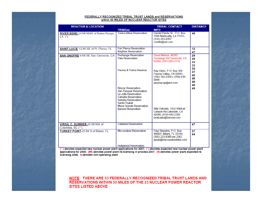#### <u>FEDERALLY RECOGNIZED TRIBAL TRUST LANDS and RESERVATIONS</u><br>within 50 MILES OF NUCLEAR REACTOR SITES

| <b>REACTOR &amp; LOCATION</b>                      |                                                                                                                                                                                            | <b>TRIBAL CONTACT</b>                                                                                         | <b>DISTANCE</b>                  |
|----------------------------------------------------|--------------------------------------------------------------------------------------------------------------------------------------------------------------------------------------------|---------------------------------------------------------------------------------------------------------------|----------------------------------|
|                                                    | TRIBE(s)                                                                                                                                                                                   | <b>INFO</b>                                                                                                   |                                  |
| RIVER BEND-24 MI NNW of Baton Rouge,<br>$LA$ $(*)$ | <b>Tunica-Biloxi Reservation</b>                                                                                                                                                           | Harold Pierite Sr., P.O. Box<br>1589 Marksville, LA 71351,<br>$(318)$ 253-9767<br>csmith@aol.com              | 48                               |
| SAINT LUCIE-12 MI SE of Ft. Pierce, FL             | <b>Fort Pierce Reservation</b><br><b>Brighton Reservation</b>                                                                                                                              |                                                                                                               | 12<br>47                         |
| SAN ONOFRE-4 MI SE San Clemente, CA                | Pechanga Reservation<br>Pala Reservation                                                                                                                                                   | David Nelson, 48245<br>Pechanga Rd Temecula, CA<br>92592. (951) 693-3112                                      | 26<br>26<br>33<br>33             |
|                                                    | Pauma & Yuima Reserve                                                                                                                                                                      | Ray Otero, P.O. Box 369<br>Pauma Valley, CA 92061,<br>(760) 742-2358 c (760) 638-<br>0088<br>paumacop@aol.com | 35<br>37<br>45<br>46<br>46<br>46 |
|                                                    | <b>Rincon Reservation</b><br><b>San Pasqual Reservation</b><br>La Jolla Reservation<br><b>Cahuilla Reservation</b><br>Soboba Reservation<br>Santa Ysabel<br><b>Mesa Grande Reservation</b> |                                                                                                               | 49                               |
|                                                    | <b>Barona Reservation</b>                                                                                                                                                                  | Billy Valcado, 1932 Wildcat<br>Canyon Rd Lakeside, CA<br>92040, (619) 443-2300<br>bvalcado@barona.com         |                                  |
| VIRGIL C. SUMMER-26 MI NW of<br>Columbia, SC (**)  | <b>Catawba Reservation</b>                                                                                                                                                                 |                                                                                                               | 47                               |
| <b>TURKEY POINT-25 MI S of Miami, FL</b>           | <b>Miccosukee Reservation</b>                                                                                                                                                              | Paul Skeados, P.O. Box<br>440021 Miami, FL 33144.<br>(305) 223-8380 ext 2362<br>pauls@miccosukeetribe.com     | 27<br>44                         |
|                                                    | <b>Hollywood Reservation</b>                                                                                                                                                               |                                                                                                               |                                  |

(\*\*)-denotes expected new nuclear power plant applications for 2007; (\*)-denotes expected new nuclear power plant<br>applications for 2008; (##)-denotes power plant re-licensing in process 2007; (#)-denotes power plant expec

NOTE: THERE ARE 53 FEDERALLY RECOGNIZED TRIBAL TRUST LANDS AND RESERVATIONS WITHIN 50 MILES OF THE 23 NUCLEAR POWER REACTOR **SITES LISTED ABOVE**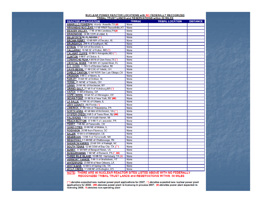#### NUCLEAR POWER REACTOR LOCATIONS with NO FEDERALLY RECOGNIZED<br>TRIBAL TRUST LANDS and RESERVATIONS within 50 MILES

| <b>REACTOR and LOCATION</b>                          | TRIBE(s)    | <b>TRIBAL LOCATION</b> | <b>DISTANCE</b> |
|------------------------------------------------------|-------------|------------------------|-----------------|
| AMARILLO POWER(N), Vicinty Amarillo, TX (#)          | <b>None</b> |                        |                 |
| <b>ARKANSAS NUCLEAR, 1.6 MI WNW Russellville, AR</b> | <b>None</b> |                        |                 |
| <b>BEAVER VALLEY, 17 MI W McCandless, PA(#)</b>      | <b>None</b> |                        |                 |
| <b>BRAIDWOOD, 24 MI SSW of Joliet, IL</b>            | <b>None</b> |                        |                 |
| <b>BELEFONTE(N) ALABAMA (**)</b>                     | <b>None</b> |                        |                 |
| <b>BROWN FERRY, 10 MI NW of Decatur, AL</b>          | <b>None</b> |                        |                 |
| <b>BRUNSWICK, 2MI N of Southport, NC</b>             | None        |                        |                 |
| <b>BYRON, 17 MI SW of Rockford, IL</b>               | <b>None</b> |                        |                 |
| CALLAWAY, 10 MI SE of Fulton, MO (*)                 | None        |                        |                 |
| CALVERT CLIFFS, 40 MI S Annapolis, MD (**)           | <b>None</b> |                        |                 |
| <b>CLINTON, 6 MI E of Clinton, IL</b>                | <b>None</b> |                        |                 |
| <b>COMANCHE PEAK, 4 MI N of Glen Rose, TX (*)</b>    | <b>None</b> |                        |                 |
| <b>CRYSTAL RIVER, 7 MI NW of Crystal River, FL</b>   | <b>None</b> |                        |                 |
| D.C. COOK, 11 NU S of Benton Harbor, MI              | <b>None</b> |                        |                 |
| DAVIS-BESSE, 21 MI ESE of Toledo, OH                 | <b>None</b> |                        |                 |
| DIABLO CANYON, 12 MI WSW San Luis Obispo, CA         | <b>None</b> |                        |                 |
| DRESDEN, 9 MI E of Morris, IL                        | <b>None</b> |                        |                 |
| FARLEY, 18 MI SE of Dothan, AL                       | <b>None</b> |                        |                 |
| FERMI, 25 MI NE of Toledo, OH                        | <b>None</b> |                        |                 |
| GINNA, 20 MI NE of Rochester, NY                     | <b>None</b> |                        |                 |
| GRAND GULF, 25 MI S of Vicksburg, MS (*)             | <b>None</b> |                        |                 |
| HATCH, 11 MI of Baxley, GA                           | <b>None</b> |                        |                 |
| HOPE CREEK, 18 MI SE of Wilmington, DE               | <b>None</b> |                        |                 |
| <b>INDIAN POINT, 24 MI N of New York, NY (##)</b>    | <b>None</b> |                        |                 |
| LA SALLE, 11 MI SE of Ottawa, IL                     | <b>None</b> |                        |                 |
| LEVY COUNTY (N) Florida (*)                          | <b>None</b> |                        |                 |
| LIMERICK, 21 MI NW of Philadelphia, PA               | <b>None</b> |                        |                 |
| NORTH ANNA, 40 MI NW of Richmond, VA (**)            | <b>None</b> |                        |                 |
| OYSTER CREEK, 9 MI S of Toms River, NJ (##)          | <b>None</b> |                        |                 |
| PALISADES, 5 MI S of South Haven, MI                 | <b>None</b> |                        |                 |
| PEACH BOTTOM, 17.9 MI S of Lancaster, PA             | <b>None</b> |                        |                 |
| PERRY, 7 MI NE of Painesville, OH                    | <b>None</b> |                        |                 |
| QUAD CITIES, 20 MI NE of Moline, IL                  | <b>None</b> |                        |                 |
| ROBINSON, 26 MI from Florence, SC                    | <b>None</b> |                        |                 |
| <b>SALEM, 18 MI S of Wilmington, DE</b>              | <b>None</b> |                        |                 |
| SEABROOK, 13 MI S of Portsmouth, NH                  | <b>None</b> |                        |                 |
| SEQUOYAH, 9.5 MI NE of Chattanooga, TN               | <b>None</b> |                        |                 |
| <b>SHEARON HARRIS, 20 MI SW of Raleigh, NC</b>       | <b>None</b> |                        |                 |
| <b>SOUTH TEXAS, 12 MI SSW of Bay City, TX (**)</b>   | <b>None</b> |                        |                 |
| <b>SURRY, 17 MI NW of Newport News, VA</b>           | <b>None</b> |                        |                 |
| <b>SUSQUEHANNA, 7 MI NE of Beriwick, PA (*, ##)</b>  | <b>None</b> |                        |                 |
| THREE MILE ISLAND, 10 MI SE Harrisburg, PA (#)       | <b>None</b> |                        |                 |
| <b>VERMONT YANKEE, 5 MI S of Brattleboro, VT</b>     | <b>None</b> |                        |                 |
| <b>WATERFORD, 20 MI W of New Orleans, LA</b>         | <b>None</b> |                        |                 |
| WATTS BAR, 10 MI S of Spring City, TN                | <b>None</b> |                        |                 |
| WOLF CREEK, 3.5 MI NE of Burlington, KS              | <b>None</b> |                        |                 |

NOTE: THERE ARE 46 NUCLEAR REACTOR SITES LISTED ABOVE WITH NO FEDERALLY<br>RECOGNIZED TRIBAL TRUST LANDS and RESERVATIONS WITHIN 50 MILES

(\*\*)-denotes expected new nuclear power plant applications for 2007; (\*)-denotes expected new nuclear power plant applications for 2008; (##)-denotes power plant re-licensing in process 2007; (#)-denotes power plant expec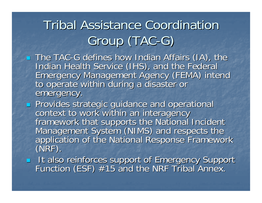# **Tribal Assistance Coordination** Group (TAC-G)

- The TAC-G defines how Indian Affairs (IA), the Indian Health Service (IHS), and the Federal<br>Emergency Management Agency (FEMA) intend<br>to operate within during a disaster or emergency.
- **Provides strategic guidance and operational** context to work within an interagency<br>framework that supports the National Incident<br>Management System (NIMS) and respects the<br>application of the National Response Framework<br>(NRF).
- It also reinforces support of Emergency Support<br>Function (ESF) #15 and the NRF Tribal Annex.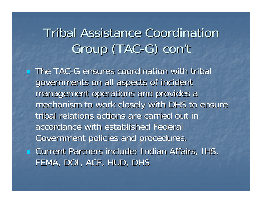### **Tribal Assistance Coordination** Group (TAC-G) con' **/t**

 $\blacksquare$  The TAC-G ensures coordination with tribal governments on all aspects of incident management operations and provides a mechanism to work closely with DHS to ensure tribal relations actions are carried out in accordance with established Federal Government policies and procedures. **E** Current Partners include: Indian Affairs, IHS, FEMA, DOI, ACF, HUD, DHS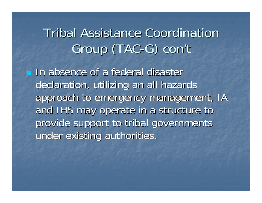### **Tribal Assistance Coordination** Group (TAC-G) con' **/t**

**In absence of a federal disaster** declaration, utilizing an all hazards approach to emergency management, IA and IHS may operate in a structure to provide support to tribal governments under existing authorities.